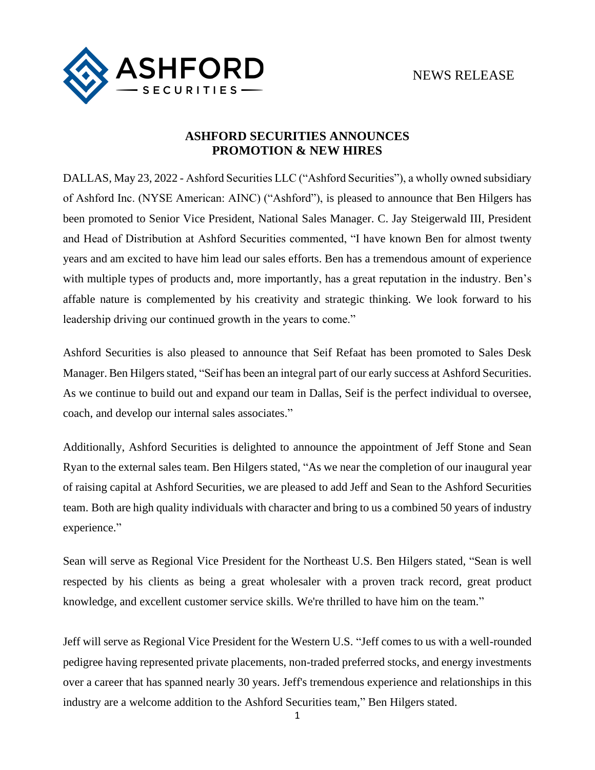

## **ASHFORD SECURITIES ANNOUNCES PROMOTION & NEW HIRES**

DALLAS, May 23, 2022 - Ashford Securities LLC ("Ashford Securities"), a wholly owned subsidiary of Ashford Inc. (NYSE American: AINC) ("Ashford"), is pleased to announce that Ben Hilgers has been promoted to Senior Vice President, National Sales Manager. C. Jay Steigerwald III, President and Head of Distribution at Ashford Securities commented, "I have known Ben for almost twenty years and am excited to have him lead our sales efforts. Ben has a tremendous amount of experience with multiple types of products and, more importantly, has a great reputation in the industry. Ben's affable nature is complemented by his creativity and strategic thinking. We look forward to his leadership driving our continued growth in the years to come."

Ashford Securities is also pleased to announce that Seif Refaat has been promoted to Sales Desk Manager.Ben Hilgers stated, "Seif has been an integral part of our early success at Ashford Securities. As we continue to build out and expand our team in Dallas, Seif is the perfect individual to oversee, coach, and develop our internal sales associates."

Additionally, Ashford Securities is delighted to announce the appointment of Jeff Stone and Sean Ryan to the external sales team. Ben Hilgers stated, "As we near the completion of our inaugural year of raising capital at Ashford Securities, we are pleased to add Jeff and Sean to the Ashford Securities team. Both are high quality individuals with character and bring to us a combined 50 years of industry experience."

Sean will serve as Regional Vice President for the Northeast U.S. Ben Hilgers stated, "Sean is well respected by his clients as being a great wholesaler with a proven track record, great product knowledge, and excellent customer service skills. We're thrilled to have him on the team."

Jeff will serve as Regional Vice President for the Western U.S. "Jeff comes to us with a well-rounded pedigree having represented private placements, non-traded preferred stocks, and energy investments over a career that has spanned nearly 30 years. Jeff's tremendous experience and relationships in this industry are a welcome addition to the Ashford Securities team," Ben Hilgers stated.